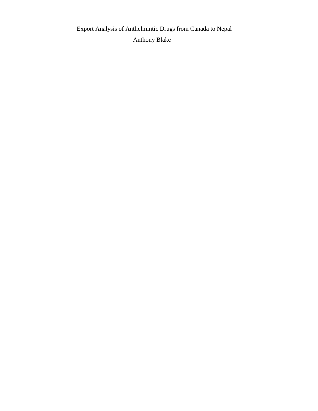Export Analysis of Anthelmintic Drugs from Canada to Nepal Anthony Blake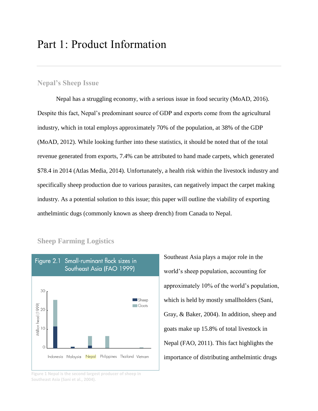# Part 1: Product Information

# **Nepal's Sheep Issue**

Nepal has a struggling economy, with a serious issue in food security (MoAD, 2016). Despite this fact, Nepal's predominant source of GDP and exports come from the agricultural industry, which in total employs approximately 70% of the population, at 38% of the GDP (MoAD, 2012). While looking further into these statistics, it should be noted that of the total revenue generated from exports, 7.4% can be attributed to hand made carpets, which generated \$78.4 in 2014 (Atlas Media, 2014). Unfortunately, a health risk within the livestock industry and specifically sheep production due to various parasites, can negatively impact the carpet making industry. As a potential solution to this issue; this paper will outline the viability of exporting anthelmintic dugs (commonly known as sheep drench) from Canada to Nepal.



**Sheep Farming Logistics**

**Figure 1 Nepal is the second largest producer of sheep in Southeast Asia (Sani et al., 2004).**

Southeast Asia plays a major role in the world's sheep population, accounting for approximately 10% of the world's population, which is held by mostly smallholders (Sani, Gray, & Baker, 2004). In addition, sheep and goats make up 15.8% of total livestock in Nepal (FAO, 2011). This fact highlights the importance of distributing anthelmintic drugs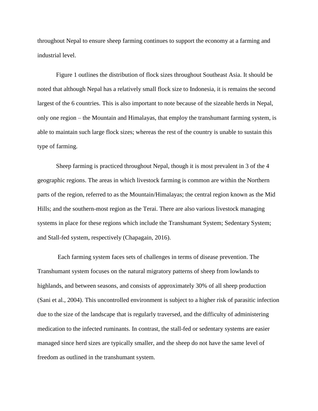throughout Nepal to ensure sheep farming continues to support the economy at a farming and industrial level.

Figure 1 outlines the distribution of flock sizes throughout Southeast Asia. It should be noted that although Nepal has a relatively small flock size to Indonesia, it is remains the second largest of the 6 countries. This is also important to note because of the sizeable herds in Nepal, only one region – the Mountain and Himalayas, that employ the transhumant farming system, is able to maintain such large flock sizes; whereas the rest of the country is unable to sustain this type of farming.

Sheep farming is practiced throughout Nepal, though it is most prevalent in 3 of the 4 geographic regions. The areas in which livestock farming is common are within the Northern parts of the region, referred to as the Mountain/Himalayas; the central region known as the Mid Hills; and the southern-most region as the Terai. There are also various livestock managing systems in place for these regions which include the Transhumant System; Sedentary System; and Stall-fed system, respectively (Chapagain, 2016).

Each farming system faces sets of challenges in terms of disease prevention. The Transhumant system focuses on the natural migratory patterns of sheep from lowlands to highlands, and between seasons, and consists of approximately 30% of all sheep production (Sani et al., 2004). This uncontrolled environment is subject to a higher risk of parasitic infection due to the size of the landscape that is regularly traversed, and the difficulty of administering medication to the infected ruminants. In contrast, the stall-fed or sedentary systems are easier managed since herd sizes are typically smaller, and the sheep do not have the same level of freedom as outlined in the transhumant system.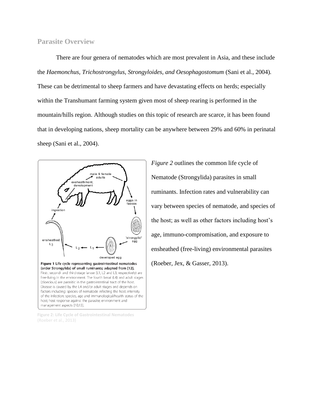# **Parasite Overview**

There are four genera of nematodes which are most prevalent in Asia, and these include the *Haemonchus, Trichostrongylus, Strongyloides, and Oesophagostomum* (Sani et al., 2004)*.* These can be detrimental to sheep farmers and have devastating effects on herds; especially within the Transhumant farming system given most of sheep rearing is performed in the mountain/hills region. Although studies on this topic of research are scarce, it has been found that in developing nations, sheep mortality can be anywhere between 29% and 60% in perinatal sheep (Sani et al., 2004).



**Figure 2: Life Cycle of Gastrointestinal Nematodes**  (Roeber et al., 2013)

*Figure 2* outlines the common life cycle of Nematode (Strongylida) parasites in small ruminants. Infection rates and vulnerability can vary between species of nematode, and species of the host; as well as other factors including host's age, immuno-compromisation, and exposure to ensheathed (free-living) environmental parasites (Roeber, Jex, & Gasser, 2013).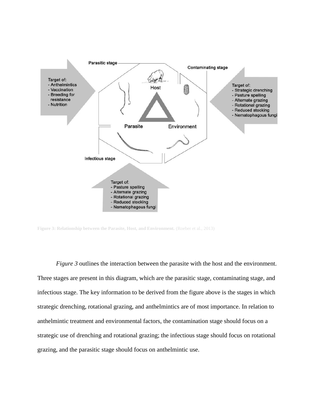

Figure 3: Relationship between the Parasite, Host, and Environment. (Roeber et al., 2013)

*Figure 3* outlines the interaction between the parasite with the host and the environment. Three stages are present in this diagram, which are the parasitic stage, contaminating stage, and infectious stage. The key information to be derived from the figure above is the stages in which strategic drenching, rotational grazing, and anthelmintics are of most importance. In relation to anthelmintic treatment and environmental factors, the contamination stage should focus on a strategic use of drenching and rotational grazing; the infectious stage should focus on rotational grazing, and the parasitic stage should focus on anthelmintic use.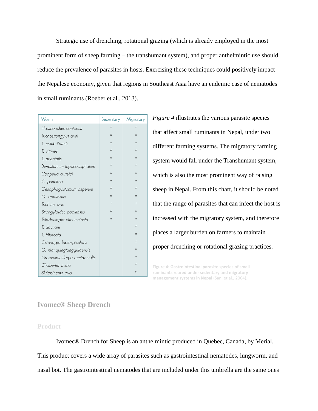Strategic use of drenching, rotational grazing (which is already employed in the most prominent form of sheep farming – the transhumant system), and proper anthelmintic use should reduce the prevalence of parasites in hosts. Exercising these techniques could positively impact the Nepalese economy, given that regions in Southeast Asia have an endemic case of nematodes in small ruminants (Roeber et al., 2013).

| Worm                          | Sedentary | Migratory |  |  |
|-------------------------------|-----------|-----------|--|--|
| Haemonchus contortus          | $\star$   | $\star$   |  |  |
| Trichostrongylus axei         | $\star$   | $\star$   |  |  |
| T. colubriformis              |           | $\star$   |  |  |
| T. vitrinus                   | $\star$   |           |  |  |
| T. orientalis                 |           |           |  |  |
| Bunostomum trigonocephalum    |           | $\star$   |  |  |
| Cooperia curteici             |           | $\star$   |  |  |
| C. punctata                   | $\star$   |           |  |  |
| Oesophagostomum asperum       |           |           |  |  |
| O. venulosum                  |           | $\star$   |  |  |
| Trichuris ovis                | $\star$   | $\star$   |  |  |
| Strongyloides papillosus      |           |           |  |  |
| Teladorsagia circumcincta     |           |           |  |  |
| T. davtiani                   |           | $\star$   |  |  |
| T. trifurcata                 |           | $\star$   |  |  |
| Ostertagia leptospicularis    |           |           |  |  |
| O. nianquingtanggulaensis     |           |           |  |  |
| Grossospiculagia occidentalis |           |           |  |  |
| Chabertia ovina               |           | $\star$   |  |  |
| Skrjabinema ovis              |           | $\star$   |  |  |

*Figure 4* illustrates the various parasite species that affect small ruminants in Nepal, under two different farming systems. The migratory farming system would fall under the Transhumant system, which is also the most prominent way of raising sheep in Nepal. From this chart, it should be noted that the range of parasites that can infect the host is increased with the migratory system, and therefore places a larger burden on farmers to maintain proper drenching or rotational grazing practices.

**Figure 4: Gastrointestinal parasite species of small ruminants reared under sedentary and migratory management systems in Nepal** (Sani et al., 2004)**.** 

#### **Ivomec® Sheep Drench**

#### **Product**

Ivomec® Drench for Sheep is an anthelmintic produced in Quebec, Canada, by Merial. This product covers a wide array of parasites such as gastrointestinal nematodes, lungworm, and nasal bot. The gastrointestinal nematodes that are included under this umbrella are the same ones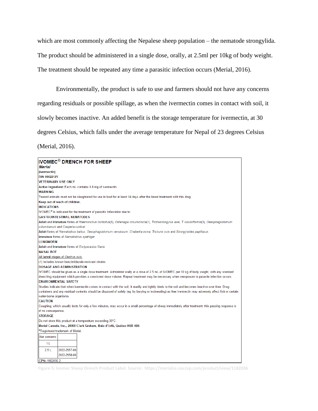which are most commonly affecting the Nepalese sheep population – the nematode strongylida. The product should be administered in a single dose, orally, at 2.5ml per 10kg of body weight. The treatment should be repeated any time a parasitic infection occurs (Merial, 2016).

Environmentally, the product is safe to use and farmers should not have any concerns regarding residuals or possible spillage, as when the ivermectin comes in contact with soil, it slowly becomes inactive. An added benefit is the storage temperature for ivermectin, at 30 degrees Celsius, which falls under the average temperature for Nepal of 23 degrees Celsius (Merial, 2016).

| <b>IVOMEC<sup>®</sup> DRENCH FOR SHEEP</b>                                                                                                                 |
|------------------------------------------------------------------------------------------------------------------------------------------------------------|
| <b>Merial</b>                                                                                                                                              |
| (ivermectin)                                                                                                                                               |
| DIN 00622125                                                                                                                                               |
| <b>VETERINARY USE ONLY</b>                                                                                                                                 |
| Active Ingredient: Each mL contains 0.8 mg of ivermectin.                                                                                                  |
| <b>WARNING</b>                                                                                                                                             |
| Treated animals must not be slaughtered for use in food for at least 14 days after the latest treatment with this drug.                                    |
| Keep out of reach of children.                                                                                                                             |
| <b>INDICATIONS</b>                                                                                                                                         |
| IVOMEC <sup>®</sup> is indicated for the treatment of parasitic infestation due to:                                                                        |
| <b>GASTROINTESTINAL NEMATODES</b>                                                                                                                          |
| Adult and immature forms of Haemonchus contortus(1), Ostertagia circumcincta(1), Trichostrongylus axei, T. colubriformis(1), Oesophagostomum               |
| columbianum and Cooperia curticei.                                                                                                                         |
| Adult forms of Nematodirus battus, Oesophagostomum venulosum, Chabertia ovina, Trichuris ovis and Strongyloides papillosus.                                |
| Immature forms of Nematodirus spathiger.                                                                                                                   |
| <b>LUNGWORM</b>                                                                                                                                            |
| Adult and Immature forms of Dictyocaulus filaria.                                                                                                          |
| <b>NASAL BOT</b>                                                                                                                                           |
| All larval stages of Oestrus ovis.                                                                                                                         |
| (1) Includes known benzimidazole-resistant strains.                                                                                                        |
| <b>DOSAGE AND ADMINISTRATION</b>                                                                                                                           |
| IVOMEC should be given as a single dose treatment. Administer orally at a dose of 2.5 mL of IVOMEC per 10 kg of body weight, with any standard             |
| drenching equipment which provides a consistent dose volume. Repeat treatment may be necessary when reexposure to parasite infection occurs.               |
| <b>ENVIRONMENTAL SAFETY</b>                                                                                                                                |
| Studies indicate that when ivermectin comes in contact with the soil, it readily and tightly binds to the soil and becomes inactive over time. Drug        |
| containers and any residual contents should be disposed of safely (eq. by burying or incinerating) as free ivermectin may adversely affect fish or certain |
| water-borne organisms.                                                                                                                                     |
| <b>CAUTION</b>                                                                                                                                             |
| Coughing, which usually lasts for only a few minutes, may occur in a small percentage of sheep immediately after treatment; this passing response is       |
| of no consequence.                                                                                                                                         |
| <b>STORAGE</b>                                                                                                                                             |
| Do not store this product at a temperature exceeding 30°C.                                                                                                 |
| Merial Canada, Inc., 20000 Clark Graham, Baie d'Urfé, Québec H9X 4B6                                                                                       |
| <sup>®</sup> Registered trademark of Merial.                                                                                                               |
| Net contents:                                                                                                                                              |
| 1 L                                                                                                                                                        |
| 2.5L<br>2022-2957-00                                                                                                                                       |
| 2022-2958-00                                                                                                                                               |
| CDN-1182036.2                                                                                                                                              |

**Figure 5: Ivomec Sheep Drench Product Label. Source: https://merialce.naccvp.com/product/view/1182036**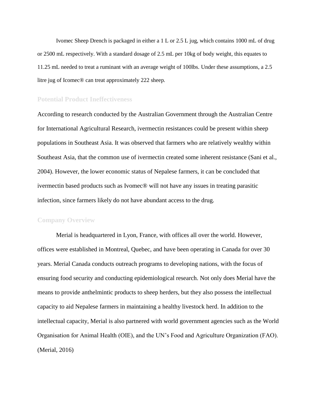Ivomec Sheep Drench is packaged in either a 1 L or 2.5 L jug, which contains 1000 mL of drug or 2500 mL respectively. With a standard dosage of 2.5 mL per 10kg of body weight, this equates to 11.25 mL needed to treat a ruminant with an average weight of 100lbs. Under these assumptions, a 2.5 litre jug of Icomec® can treat approximately 222 sheep.

#### **Potential Product Ineffectiveness**

According to research conducted by the Australian Government through the Australian Centre for International Agricultural Research, ivermectin resistances could be present within sheep populations in Southeast Asia. It was observed that farmers who are relatively wealthy within Southeast Asia, that the common use of ivermectin created some inherent resistance (Sani et al., 2004). However, the lower economic status of Nepalese farmers, it can be concluded that ivermectin based products such as Ivomec® will not have any issues in treating parasitic infection, since farmers likely do not have abundant access to the drug.

#### **Company Overview**

Merial is headquartered in Lyon, France, with offices all over the world. However, offices were established in Montreal, Quebec, and have been operating in Canada for over 30 years. Merial Canada conducts outreach programs to developing nations, with the focus of ensuring food security and conducting epidemiological research. Not only does Merial have the means to provide anthelmintic products to sheep herders, but they also possess the intellectual capacity to aid Nepalese farmers in maintaining a healthy livestock herd. In addition to the intellectual capacity, Merial is also partnered with world government agencies such as the World Organisation for Animal Health (OIE), and the UN's Food and Agriculture Organization (FAO). (Merial, 2016)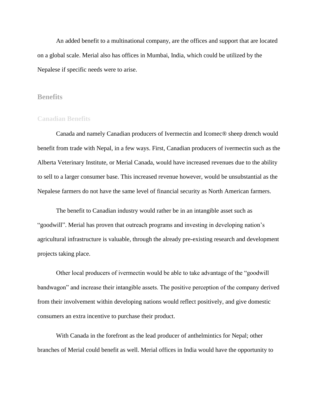An added benefit to a multinational company, are the offices and support that are located on a global scale. Merial also has offices in Mumbai, India, which could be utilized by the Nepalese if specific needs were to arise.

#### **Benefits**

#### **Canadian Benefits**

Canada and namely Canadian producers of Ivermectin and Icomec® sheep drench would benefit from trade with Nepal, in a few ways. First, Canadian producers of ivermectin such as the Alberta Veterinary Institute, or Merial Canada, would have increased revenues due to the ability to sell to a larger consumer base. This increased revenue however, would be unsubstantial as the Nepalese farmers do not have the same level of financial security as North American farmers.

The benefit to Canadian industry would rather be in an intangible asset such as "goodwill". Merial has proven that outreach programs and investing in developing nation's agricultural infrastructure is valuable, through the already pre-existing research and development projects taking place.

Other local producers of ivermectin would be able to take advantage of the "goodwill bandwagon" and increase their intangible assets. The positive perception of the company derived from their involvement within developing nations would reflect positively, and give domestic consumers an extra incentive to purchase their product.

With Canada in the forefront as the lead producer of anthelmintics for Nepal; other branches of Merial could benefit as well. Merial offices in India would have the opportunity to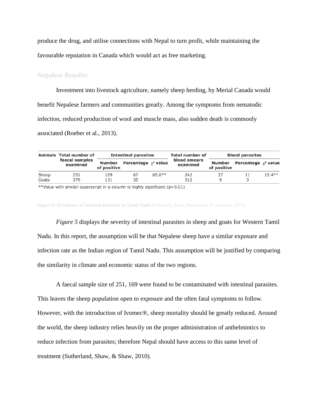produce the drug, and utilise connections with Nepal to turn profit, while maintaining the favourable reputation in Canada which would act as free marketing.

#### **Nepalese Benefits**

Investment into livestock agriculture, namely sheep herding, by Merial Canada would benefit Nepalese farmers and communities greatly. Among the symptoms from nematodic infection, reduced production of wool and muscle mass, also sudden death is commonly associated (Roeber et al., 2013).

|       | Animals Total number of<br>faecal samples<br>examined | <b>Intestinal parasites</b> |                             | <b>Total number of</b> | <b>Blood parasites</b>   |             |                                    |          |
|-------|-------------------------------------------------------|-----------------------------|-----------------------------|------------------------|--------------------------|-------------|------------------------------------|----------|
|       |                                                       | Number<br>of positive       | Percentage $\gamma^2$ value |                        | blood smears<br>examined | of positive | Number Percentage $\gamma^2$ value |          |
| Sheep | 251                                                   | 169                         | 67                          | $65.0**$               | 242                      | 27          | 11                                 | $15.4**$ |
| Goats | 379                                                   | 131                         | 35                          |                        | 312                      | a           |                                    |          |

\*\*Value with similar superscript in a column is highly significant (p>0.01)

**Figure 6: Prevalence of Internal Parasites in Tamil Nadu** (Velusamy, Rani, Ponnudurai, & Anbarasi, 2015)**.**

*Figure 5* displays the severity of intestinal parasites in sheep and goats for Western Tamil Nadu. In this report, the assumption will be that Nepalese sheep have a similar exposure and infection rate as the Indian region of Tamil Nadu. This assumption will be justified by comparing the similarity in climate and economic status of the two regions.

A faecal sample size of 251, 169 were found to be contaminated with intestinal parasites. This leaves the sheep population open to exposure and the often fatal symptoms to follow. However, with the introduction of Ivomec®, sheep mortality should be greatly reduced. Around the world, the sheep industry relies heavily on the proper administration of anthelmintics to reduce infection from parasites; therefore Nepal should have access to this same level of treatment (Sutherland, Shaw, & Shaw, 2010).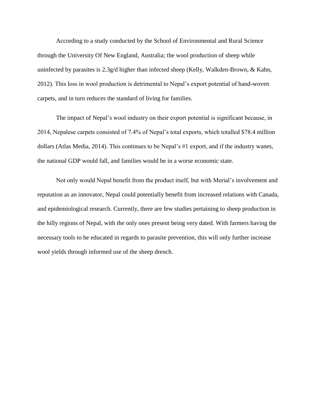According to a study conducted by the School of Environmental and Rural Science through the University Of New England, Australia; the wool production of sheep while uninfected by parasites is  $2.3g/d$  higher than infected sheep (Kelly, Walkden-Brown, & Kahn, 2012). This loss in wool production is detrimental to Nepal's export potential of hand-woven carpets, and in turn reduces the standard of living for families.

The impact of Nepal's wool industry on their export potential is significant because, in 2014, Nepalese carpets consisted of 7.4% of Nepal's total exports, which totalled \$78.4 million dollars (Atlas Media, 2014). This continues to be Nepal's #1 export, and if the industry wanes, the national GDP would fall, and families would be in a worse economic state.

Not only would Nepal benefit from the product itself, but with Merial's involvement and reputation as an innovator, Nepal could potentially benefit from increased relations with Canada, and epidemiological research. Currently, there are few studies pertaining to sheep production in the hilly regions of Nepal, with the only ones present being very dated. With farmers having the necessary tools to be educated in regards to parasite prevention, this will only further increase wool yields through informed use of the sheep drench.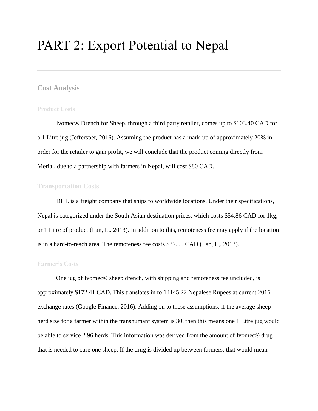# PART 2: Export Potential to Nepal

# **Cost Analysis**

#### **Product Costs**

Ivomec® Drench for Sheep, through a third party retailer, comes up to \$103.40 CAD for a 1 Litre jug (Jefferspet, 2016). Assuming the product has a mark-up of approximately 20% in order for the retailer to gain profit, we will conclude that the product coming directly from Merial, due to a partnership with farmers in Nepal, will cost \$80 CAD.

### **Transportation Costs**

DHL is a freight company that ships to worldwide locations. Under their specifications, Nepal is categorized under the South Asian destination prices, which costs \$54.86 CAD for 1kg, or 1 Litre of product (Lan, L,. 2013). In addition to this, remoteness fee may apply if the location is in a hard-to-reach area. The remoteness fee costs \$37.55 CAD (Lan, L,. 2013).

#### **Farmer's Costs**

One jug of Ivomec® sheep drench, with shipping and remoteness fee uncluded, is approximately \$172.41 CAD. This translates in to 14145.22 Nepalese Rupees at current 2016 exchange rates (Google Finance, 2016). Adding on to these assumptions; if the average sheep herd size for a farmer within the transhumant system is 30, then this means one 1 Litre jug would be able to service 2.96 herds. This information was derived from the amount of Ivomec® drug that is needed to cure one sheep. If the drug is divided up between farmers; that would mean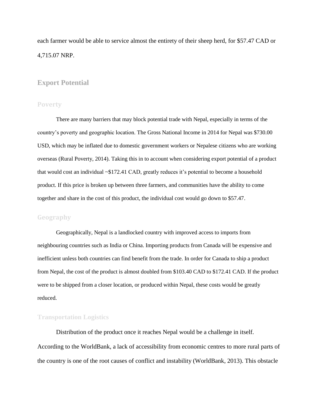each farmer would be able to service almost the entirety of their sheep herd, for \$57.47 CAD or 4,715.07 NRP.

# **Export Potential**

#### **Poverty**

There are many barriers that may block potential trade with Nepal, especially in terms of the country's poverty and geographic location. The Gross National Income in 2014 for Nepal was \$730.00 USD, which may be inflated due to domestic government workers or Nepalese citizens who are working overseas (Rural Poverty, 2014). Taking this in to account when considering export potential of a product that would cost an individual ~\$172.41 CAD, greatly reduces it's potential to become a household product. If this price is broken up between three farmers, and communities have the ability to come together and share in the cost of this product, the individual cost would go down to \$57.47.

#### **Geography**

Geographically, Nepal is a landlocked country with improved access to imports from neighbouring countries such as India or China. Importing products from Canada will be expensive and inefficient unless both countries can find benefit from the trade. In order for Canada to ship a product from Nepal, the cost of the product is almost doubled from \$103.40 CAD to \$172.41 CAD. If the product were to be shipped from a closer location, or produced within Nepal, these costs would be greatly reduced.

#### **Transportation Logistics**

Distribution of the product once it reaches Nepal would be a challenge in itself. According to the WorldBank, a lack of accessibility from economic centres to more rural parts of the country is one of the root causes of conflict and instability (WorldBank, 2013). This obstacle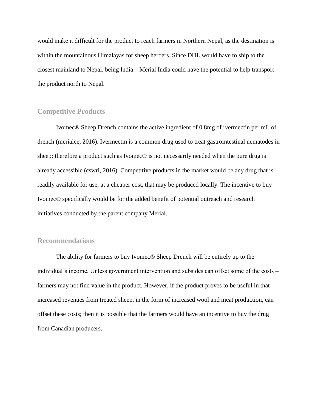would make it difficult for the product to reach farmers in Northern Nepal, as the destination is within the mountainous Himalayas for sheep herders. Since DHL would have to ship to the closest mainland to Nepal, being India – Merial India could have the potential to help transport the product north to Nepal.

# **Competitive Products**

Ivomec® Sheep Drench contains the active ingredient of 0.8mg of ivermectin per mL of drench (merialce, 2016). Ivermectin is a common drug used to treat gastrointestinal nematodes in sheep; therefore a product such as Ivomec<sup>®</sup> is not necessarily needed when the pure drug is already accessible (cswri, 2016). Competitive products in the market would be any drug that is readily available for use, at a cheaper cost, that may be produced locally. The incentive to buy Ivomec® specifically would be for the added benefit of potential outreach and research initiatives conducted by the parent company Merial.

# **Recommendations**

The ability for farmers to buy Ivomec® Sheep Drench will be entirely up to the individual's income. Unless government intervention and subsides can offset some of the costs – farmers may not find value in the product. However, if the product proves to be useful in that increased revenues from treated sheep, in the form of increased wool and meat production, can offset these costs; then it is possible that the farmers would have an incentive to buy the drug from Canadian producers.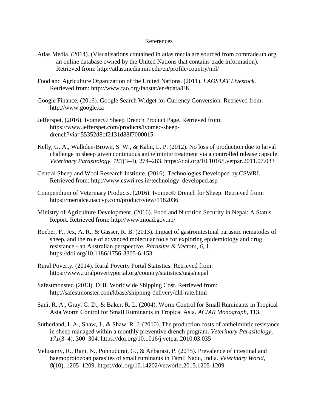#### References

- Atlas Media. (2014). (Visualisations contained in atlas media are sourced from comtrade.un.org, an online database owned by the United Nations that contains trade information). Retrieved from: <http://atlas.media.mit.edu/en/profile/country/npl/>
- Food and Agriculture Organization of the United Nations. (2011). *FAOSTAT Livestock*. Retrieved from: http://www.fao.org/faostat/en/#data/EK
- Google Finance. (2016). Google Search Widget for Currency Conversion. Retrieved from: http://www.google.ca
- Jefferspet. (2016). Ivomec® Sheep Drench Product Page. Retrieved from: https://www.jefferspet.com/products/ivomec-sheepdrench?via=55352d8bf2131d88f7000015
- Kelly, G. A., Walkden-Brown, S. W., & Kahn, L. P. (2012). No loss of production due to larval challenge in sheep given continuous anthelmintic treatment via a controlled release capsule. *Veterinary Parasitology*, *183*(3–4), 274–283. https://doi.org/10.1016/j.vetpar.2011.07.033
- Central Sheep and Wool Research Institute. (2016). Technologies Developed by CSWRI. Retrieved from: http://www.cswri.res.in/technology\_developed.asp
- Compendium of Veterinary Products. (2016). Ivomec® Drench for Sheep. Retrieved from: https://merialce.naccvp.com/product/view/1182036
- Ministry of Agriculture Development. (2016). Food and Nutrition Security in Nepal: A Status Report. Retrieved from: http://www.moad.gov.np/
- Roeber, F., Jex, A. R., & Gasser, R. B. (2013). Impact of gastrointestinal parasitic nematodes of sheep, and the role of advanced molecular tools for exploring epidemiology and drug resistance - an Australian perspective. *Parasites & Vectors*, *6*, 1. https://doi.org/10.1186/1756-3305-6-153
- Rural Poverty. (2014). Rural Poverty Portal Statistics. Retrieved from: https://www.ruralpovertyportal.org/country/statistics/tags/nepal
- Safestmonster. (2013). DHL Worldwide Shipping Cost. Retrieved from: http://safestmonster.com/kbase/shipping-delivery/dhl-rate.html
- Sani, R. A., Gray, G. D., & Baker, R. L. (2004). Worm Control for Small Ruminants in Tropical Asia Worm Control for Small Ruminants in Tropical Asia. *ACIAR Monograph*, 113.
- Sutherland, I. A., Shaw, J., & Shaw, R. J. (2010). The production costs of anthelmintic resistance in sheep managed within a monthly preventive drench program. *Veterinary Parasitology*, *171*(3–4), 300–304. https://doi.org/10.1016/j.vetpar.2010.03.035
- Velusamy, R., Rani, N., Ponnudurai, G., & Anbarasi, P. (2015). Prevalence of intestinal and haemoprotozoan parasites of small ruminants in Tamil Nadu, India. *Veterinary World*, *8*(10), 1205–1209. https://doi.org/10.14202/vetworld.2015.1205-1209